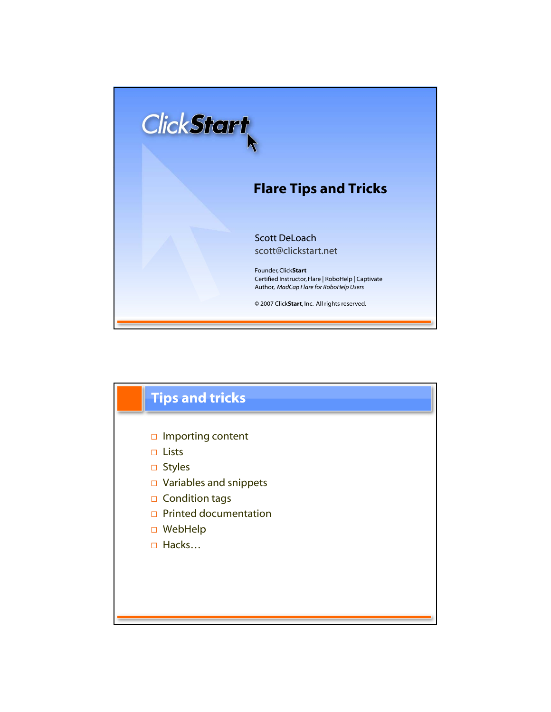

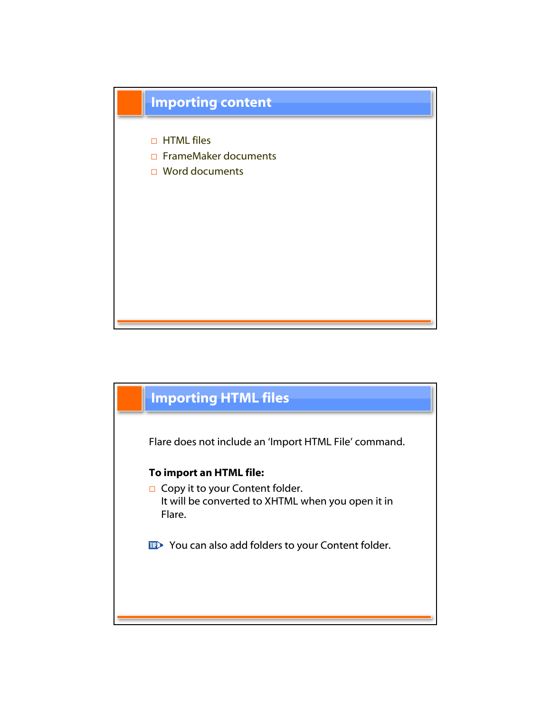

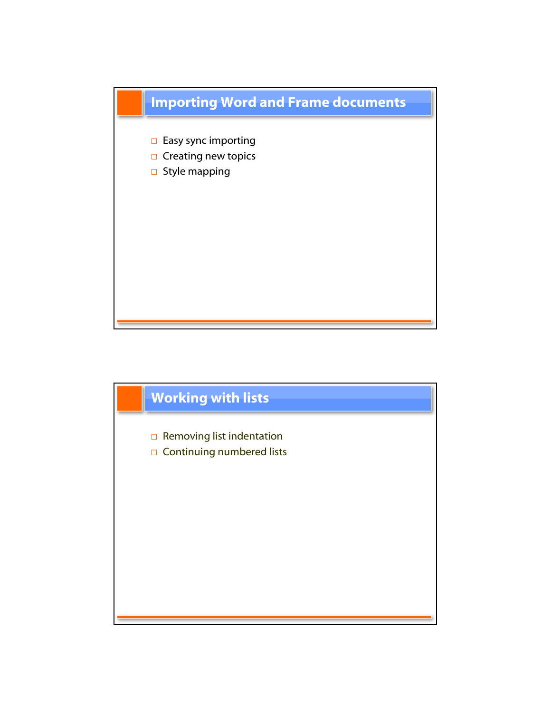

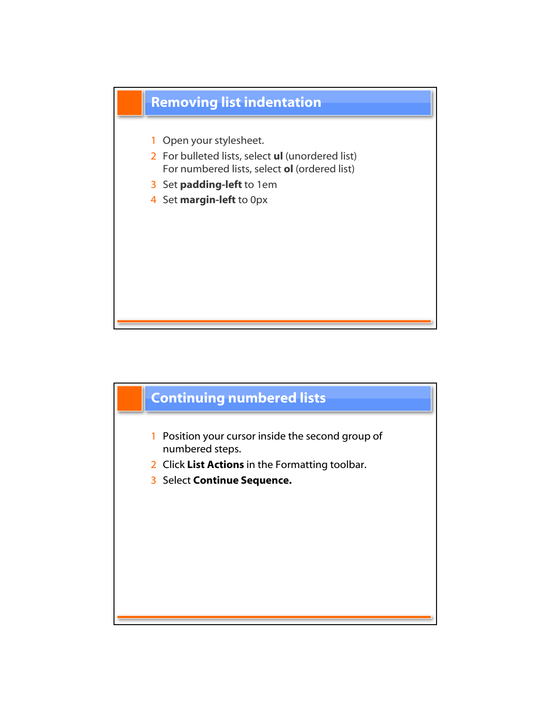

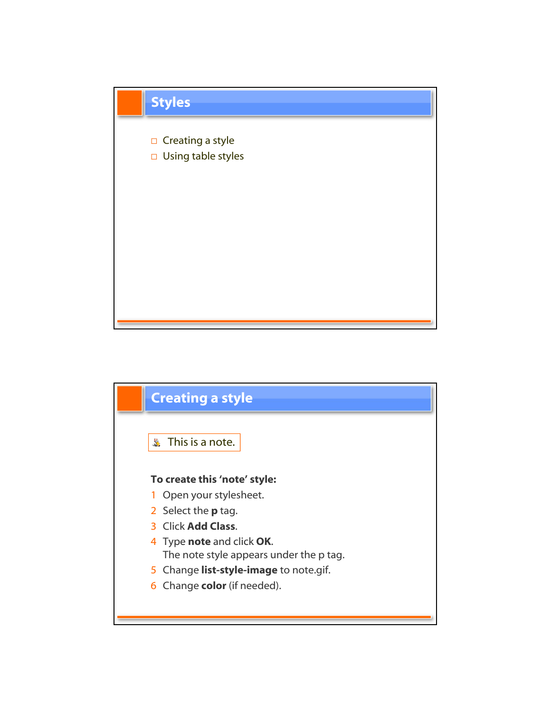

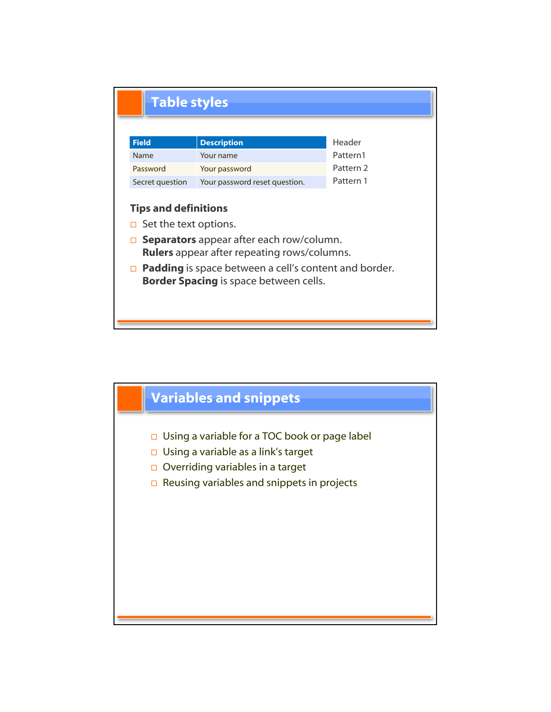

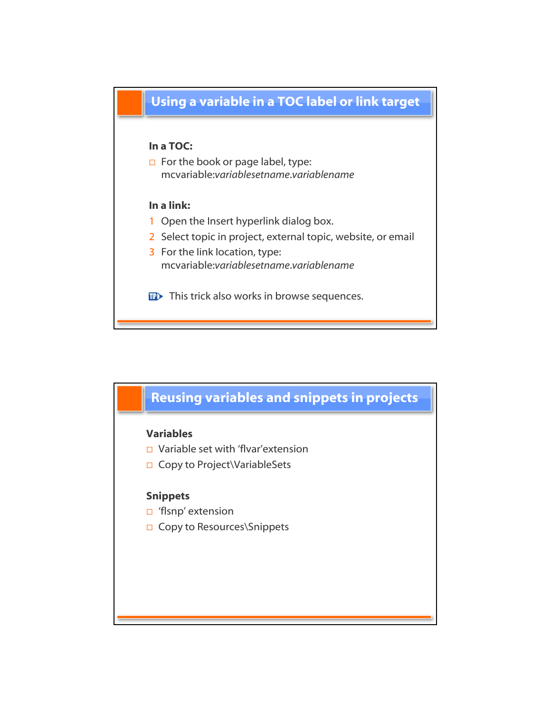

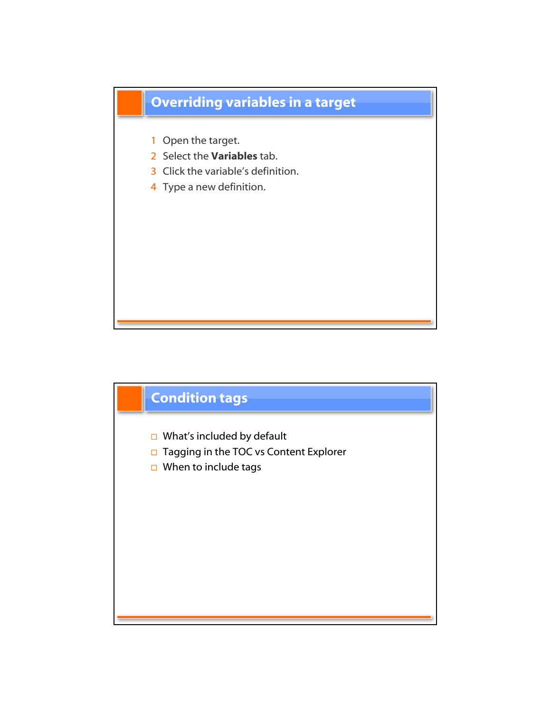

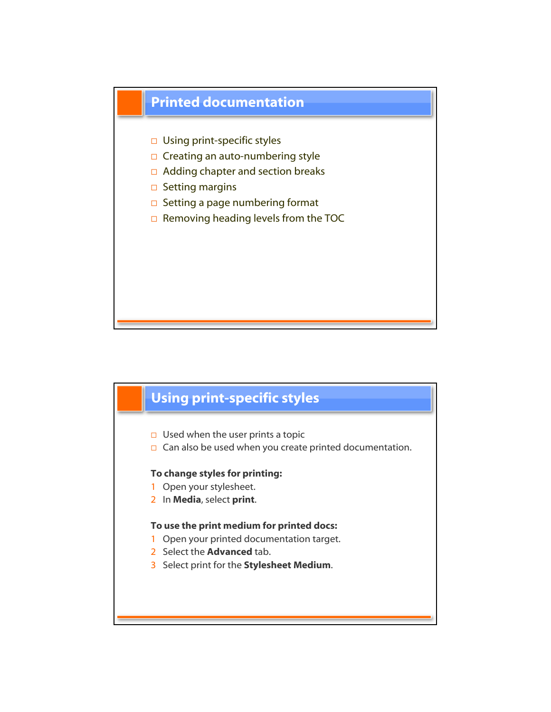

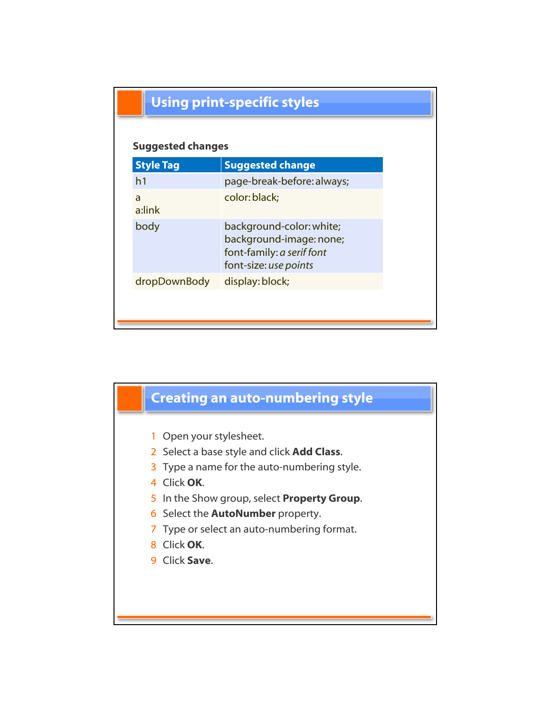|  | <b>Using print-specific styles</b> |  |
|--|------------------------------------|--|
|  |                                    |  |

## Suggested changes

| <b>Style Tag</b> | <b>Suggested change</b>                                                                                   |
|------------------|-----------------------------------------------------------------------------------------------------------|
| h <sub>1</sub>   | page-break-before: always;                                                                                |
| a<br>a:link      | color: black;                                                                                             |
| body             | background-color: white;<br>background-image: none;<br>font-family: a serif font<br>font-size: use points |
| dropDownBody     | display: block;                                                                                           |
|                  |                                                                                                           |

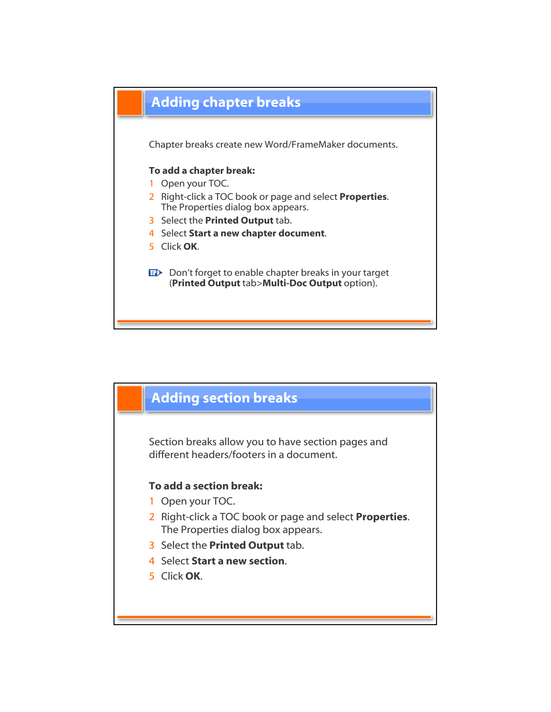

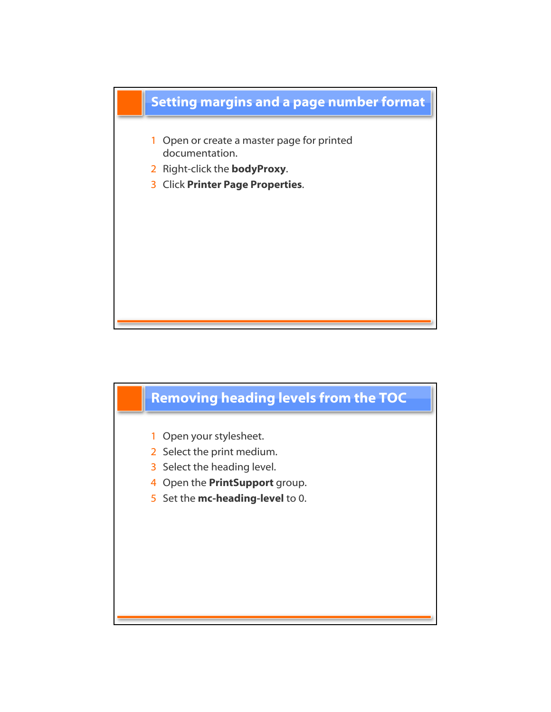

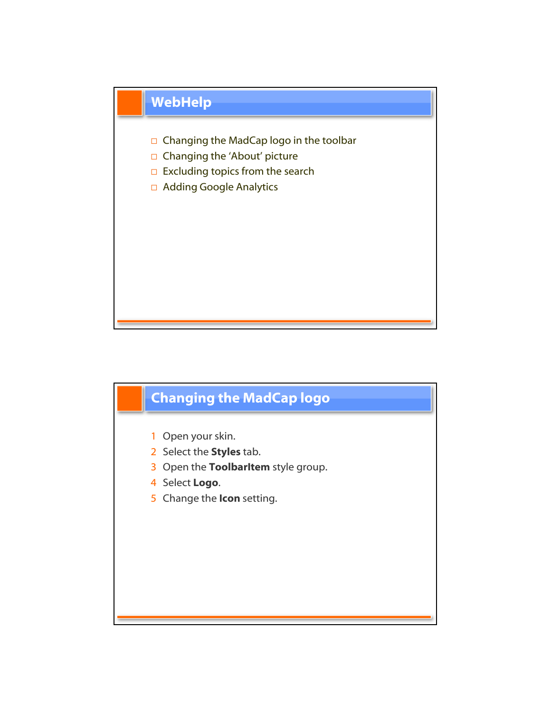

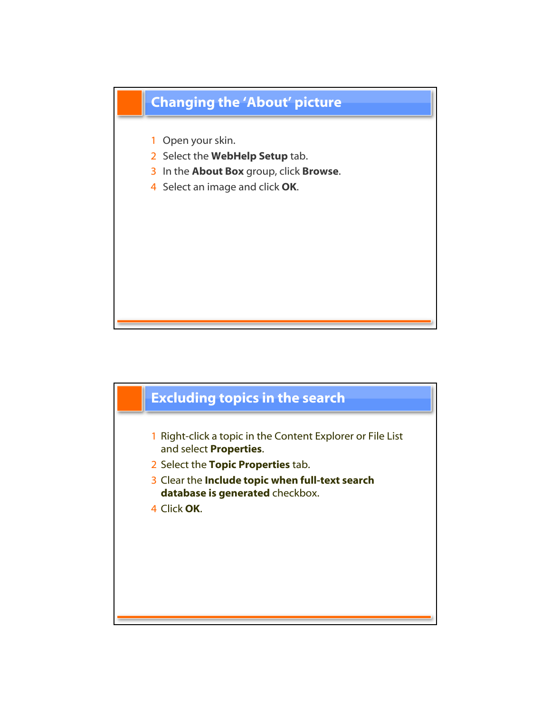

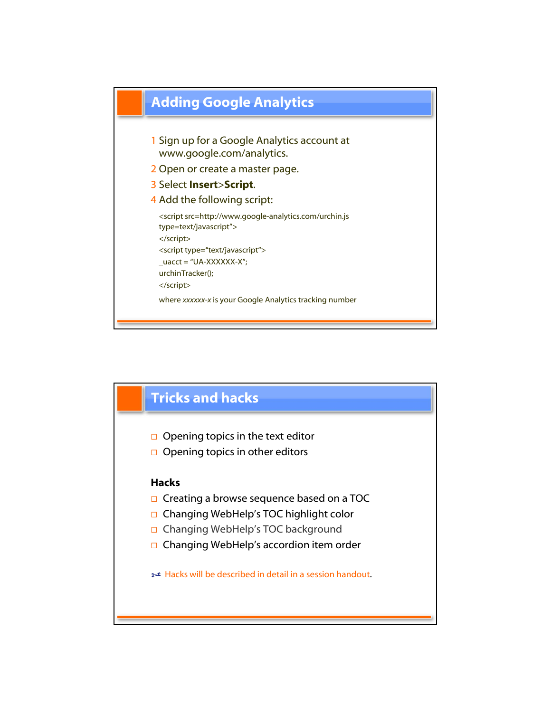

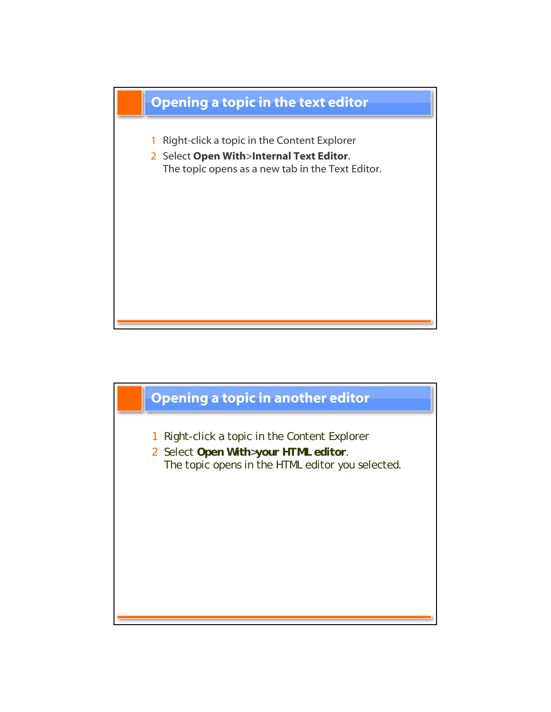

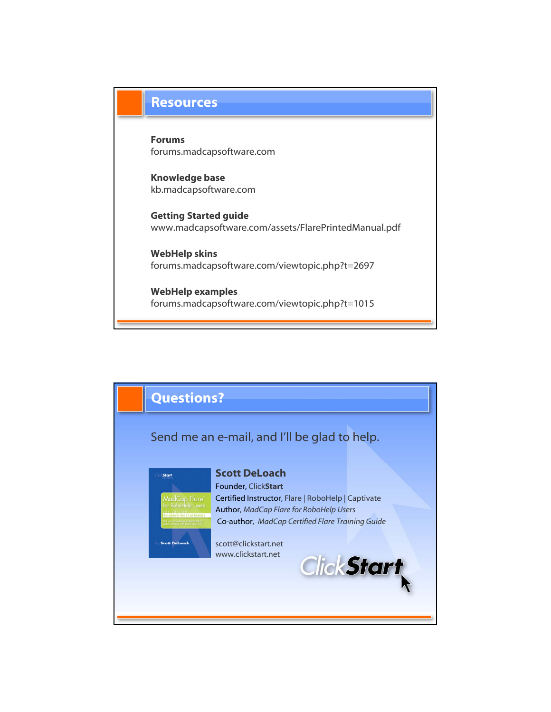## **Resources**

Forums forums.madcapsoftware.com

Knowledge base kb.madcapsoftware.com

Getting Started guide www.madcapsoftware.com/assets/FlarePrintedManual.pdf

WebHelp skins forums.madcapsoftware.com/viewtopic.php?t=2697

WebHelp examples forums.madcapsoftware.com/viewtopic.php?t=1015